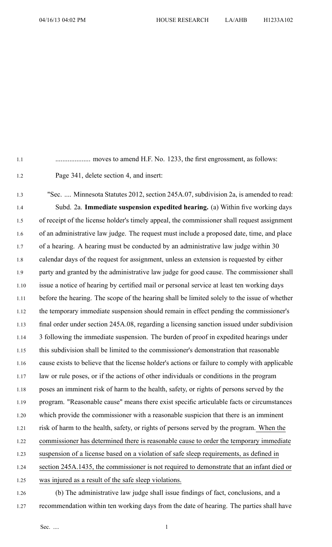1.1 .................... moves to amend H.F. No. 1233, the first engrossment, as follows:

1.2 Page 341, delete section 4, and insert:

1.3 "Sec. .... Minnesota Statutes 2012, section 245A.07, subdivision 2a, is amended to read: 1.4 Subd. 2a. **Immediate suspension expedited hearing.** (a) Within five working days 1.5 of receipt of the license holder's timely appeal, the commissioner shall reques<sup>t</sup> assignment 1.6 of an administrative law judge. The reques<sup>t</sup> must include <sup>a</sup> proposed date, time, and place 1.7 of <sup>a</sup> hearing. A hearing must be conducted by an administrative law judge within 30 1.8 calendar days of the reques<sup>t</sup> for assignment, unless an extension is requested by either 1.9 party and granted by the administrative law judge for good cause. The commissioner shall 1.10 issue <sup>a</sup> notice of hearing by certified mail or personal service at least ten working days 1.11 before the hearing. The scope of the hearing shall be limited solely to the issue of whether 1.12 the temporary immediate suspension should remain in effect pending the commissioner's 1.13 final order under section 245A.08, regarding <sup>a</sup> licensing sanction issued under subdivision 1.14 3 following the immediate suspension. The burden of proof in expedited hearings under 1.15 this subdivision shall be limited to the commissioner's demonstration that reasonable 1.16 cause exists to believe that the license holder's actions or failure to comply with applicable 1.17 law or rule poses, or if the actions of other individuals or conditions in the program 1.18 poses an imminent risk of harm to the health, safety, or rights of persons served by the 1.19 program. "Reasonable cause" means there exist specific articulable facts or circumstances 1.20 which provide the commissioner with <sup>a</sup> reasonable suspicion that there is an imminent 1.21 risk of harm to the health, safety, or rights of persons served by the program. When the 1.22 commissioner has determined there is reasonable cause to order the temporary immediate 1.23 suspension of <sup>a</sup> license based on <sup>a</sup> violation of safe sleep requirements, as defined in 1.24 section 245A.1435, the commissioner is not required to demonstrate that an infant died or 1.25 was injured as <sup>a</sup> result of the safe sleep violations.

1.26 (b) The administrative law judge shall issue findings of fact, conclusions, and <sup>a</sup> 1.27 recommendation within ten working days from the date of hearing. The parties shall have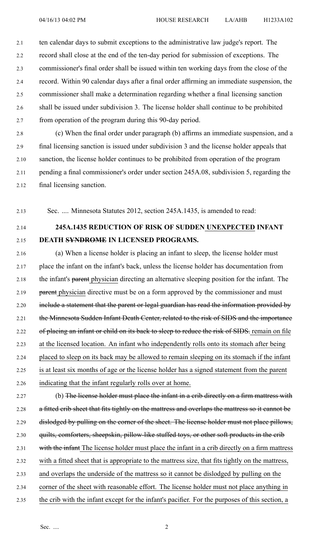2.1 ten calendar days to submit exceptions to the administrative law judge's report. The 2.2 record shall close at the end of the ten-day period for submission of exceptions. The 2.3 commissioner's final order shall be issued within ten working days from the close of the 2.4 record. Within 90 calendar days after <sup>a</sup> final order affirming an immediate suspension, the 2.5 commissioner shall make <sup>a</sup> determination regarding whether <sup>a</sup> final licensing sanction 2.6 shall be issued under subdivision 3. The license holder shall continue to be prohibited 2.7 from operation of the program during this 90-day period.

2.8 (c) When the final order under paragraph (b) affirms an immediate suspension, and <sup>a</sup> 2.9 final licensing sanction is issued under subdivision 3 and the license holder appeals that 2.10 sanction, the license holder continues to be prohibited from operation of the program 2.11 pending <sup>a</sup> final commissioner's order under section 245A.08, subdivision 5, regarding the 2.12 final licensing sanction.

2.13 Sec. .... Minnesota Statutes 2012, section 245A.1435, is amended to read:

2.14 **245A.1435 REDUCTION OF RISK OF SUDDEN UNEXPECTED INFANT**

2.15 **DEATH SYNDROME IN LICENSED PROGRAMS.**

2.16 (a) When <sup>a</sup> license holder is placing an infant to sleep, the license holder must 2.17 place the infant on the infant's back, unless the license holder has documentation from 2.18 the infant's parent physician directing an alternative sleeping position for the infant. The 2.19 parent physician directive must be on a form approved by the commissioner and must 2.20 include a statement that the parent or legal guardian has read the information provided by 2.21 the Minnesota Sudden Infant Death Center, related to the risk of SIDS and the importance 2.22 of placing an infant or child on its back to sleep to reduce the risk of SIDS. remain on file 2.23 at the licensed location. An infant who independently rolls onto its stomach after being 2.24 placed to sleep on its back may be allowed to remain sleeping on its stomach if the infant 2.25 is at least six months of age or the license holder has <sup>a</sup> signed statement from the paren<sup>t</sup> 2.26 indicating that the infant regularly rolls over at home.

2.27 (b) The license holder must place the infant in a crib directly on a firm mattress with 2.28 a fitted crib sheet that fits tightly on the mattress and overlaps the mattress so it cannot be 2.29 dislodged by pulling on the corner of the sheet. The license holder must not place pillows, 2.30 quilts, comforters, sheepskin, pillow-like stuffed toys, or other soft products in the crib 2.31 with the infant The license holder must place the infant in a crib directly on a firm mattress 2.32 with <sup>a</sup> fitted sheet that is appropriate to the mattress size, that fits tightly on the mattress, 2.33 and overlaps the underside of the mattress so it cannot be dislodged by pulling on the 2.34 corner of the sheet with reasonable effort. The license holder must not place anything in

- 
- 2.35 the crib with the infant excep<sup>t</sup> for the infant's pacifier. For the purposes of this section, <sup>a</sup>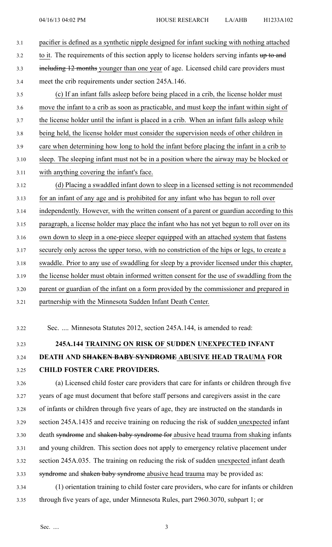3.1 pacifier is defined as <sup>a</sup> synthetic nipple designed for infant sucking with nothing attached  $3.2$  to it. The requirements of this section apply to license holders serving infants up to and 3.3 including 12 months younger than one year of age. Licensed child care providers must 3.4 meet the crib requirements under section 245A.146. 3.5 (c) If an infant falls asleep before being placed in <sup>a</sup> crib, the license holder must 3.6 move the infant to <sup>a</sup> crib as soon as practicable, and must keep the infant within sight of 3.7 the license holder until the infant is placed in <sup>a</sup> crib. When an infant falls asleep while 3.8 being held, the license holder must consider the supervision needs of other children in 3.9 care when determining how long to hold the infant before placing the infant in <sup>a</sup> crib to 3.10 sleep. The sleeping infant must not be in <sup>a</sup> position where the airway may be blocked or 3.11 with anything covering the infant's face. 3.12 (d) Placing <sup>a</sup> swaddled infant down to sleep in <sup>a</sup> licensed setting is not recommended 3.13 for an infant of any age and is prohibited for any infant who has begun to roll over 3.14 independently. However, with the written consent of <sup>a</sup> paren<sup>t</sup> or guardian according to this 3.15 paragraph, <sup>a</sup> license holder may place the infant who has not ye<sup>t</sup> begun to roll over on its 3.16 own down to sleep in <sup>a</sup> one-piece sleeper equipped with an attached system that fastens 3.17 securely only across the upper torso, with no constriction of the hips or legs, to create <sup>a</sup> 3.18 swaddle. Prior to any use of swaddling for sleep by <sup>a</sup> provider licensed under this chapter, 3.19 the license holder must obtain informed written consent for the use of swaddling from the 3.20 paren<sup>t</sup> or guardian of the infant on <sup>a</sup> form provided by the commissioner and prepared in 3.21 partnership with the Minnesota Sudden Infant Death Center.

3.22 Sec. .... Minnesota Statutes 2012, section 245A.144, is amended to read:

### 3.23 **245A.144 TRAINING ON RISK OF SUDDEN UNEXPECTED INFANT**

### 3.24 **DEATH AND SHAKEN BABY SYNDROME ABUSIVE HEAD TRAUMA FOR** 3.25 **CHILD FOSTER CARE PROVIDERS.**

3.26 (a) Licensed child foster care providers that care for infants or children through five 3.27 years of age must document that before staff persons and caregivers assist in the care 3.28 of infants or children through five years of age, they are instructed on the standards in 3.29 section 245A.1435 and receive training on reducing the risk of sudden unexpected infant 3.30 death syndrome and shaken baby syndrome for abusive head trauma from shaking infants 3.31 and young children. This section does not apply to emergency relative placement under 3.32 section 245A.035. The training on reducing the risk of sudden unexpected infant death 3.33 syndrome and shaken baby syndrome abusive head trauma may be provided as: 3.34 (1) orientation training to child foster care providers, who care for infants or children 3.35 through five years of age, under Minnesota Rules, par<sup>t</sup> 2960.3070, subpart 1; or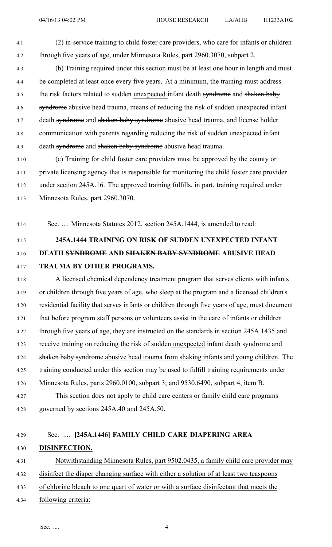- 4.1 (2) in-service training to child foster care providers, who care for infants or children 4.2 through five years of age, under Minnesota Rules, par<sup>t</sup> 2960.3070, subpart 2.
- 4.3 (b) Training required under this section must be at least one hour in length and must 4.4 be completed at least once every five years. At <sup>a</sup> minimum, the training must address 4.5 the risk factors related to sudden unexpected infant death syndrome and shaken baby 4.6 syndrome abusive head trauma, means of reducing the risk of sudden unexpected infant 4.7 death syndrome and shaken baby syndrome abusive head trauma, and license holder 4.8 communication with parents regarding reducing the risk of sudden unexpected infant 4.9 death syndrome and shaken baby syndrome abusive head trauma.
- 4.10 (c) Training for child foster care providers must be approved by the county or 4.11 private licensing agency that is responsible for monitoring the child foster care provider 4.12 under section 245A.16. The approved training fulfills, in part, training required under 4.13 Minnesota Rules, par<sup>t</sup> 2960.3070.

4.14 Sec. .... Minnesota Statutes 2012, section 245A.1444, is amended to read:

# 4.15 **245A.1444 TRAINING ON RISK OF SUDDEN UNEXPECTED INFANT** 4.16 **DEATH SYNDROME AND SHAKEN BABY SYNDROME ABUSIVE HEAD** 4.17 **TRAUMA BY OTHER PROGRAMS.**

4.18 A licensed chemical dependency treatment program that serves clients with infants 4.19 or children through five years of age, who sleep at the program and <sup>a</sup> licensed children's 4.20 residential facility that serves infants or children through five years of age, must document 4.21 that before program staff persons or volunteers assist in the care of infants or children 4.22 through five years of age, they are instructed on the standards in section 245A.1435 and 4.23 receive training on reducing the risk of sudden unexpected infant death syndrome and 4.24 shaken baby syndrome abusive head trauma from shaking infants and young children. The 4.25 training conducted under this section may be used to fulfill training requirements under 4.26 Minnesota Rules, parts 2960.0100, subpart 3; and 9530.6490, subpart 4, item B. 4.27 This section does not apply to child care centers or family child care programs 4.28 governed by sections 245A.40 and 245A.50.

## 4.29 Sec. .... **[245A.1446] FAMILY CHILD CARE DIAPERING AREA** 4.30 **DISINFECTION.**

4.31 Notwithstanding Minnesota Rules, par<sup>t</sup> 9502.0435, <sup>a</sup> family child care provider may 4.32 disinfect the diaper changing surface with either <sup>a</sup> solution of at least two teaspoons

- 4.33 of chlorine bleach to one quar<sup>t</sup> of water or with <sup>a</sup> surface disinfectant that meets the
- 4.34 following criteria: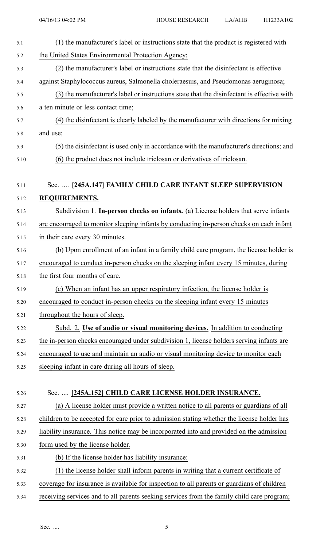| 5.1  | (1) the manufacturer's label or instructions state that the product is registered with     |
|------|--------------------------------------------------------------------------------------------|
| 5.2  | the United States Environmental Protection Agency;                                         |
| 5.3  | (2) the manufacturer's label or instructions state that the disinfectant is effective      |
| 5.4  | against Staphylococcus aureus, Salmonella choleraesuis, and Pseudomonas aeruginosa;        |
| 5.5  | (3) the manufacturer's label or instructions state that the disinfectant is effective with |
| 5.6  | a ten minute or less contact time;                                                         |
| 5.7  | (4) the disinfectant is clearly labeled by the manufacturer with directions for mixing     |
| 5.8  | and use;                                                                                   |
| 5.9  | (5) the disinfectant is used only in accordance with the manufacturer's directions; and    |
| 5.10 | (6) the product does not include triclosan or derivatives of triclosan.                    |
| 5.11 | Sec.  [245A.147] FAMILY CHILD CARE INFANT SLEEP SUPERVISION                                |
| 5.12 | REQUIREMENTS.                                                                              |
| 5.13 | Subdivision 1. In-person checks on infants. (a) License holders that serve infants         |
| 5.14 | are encouraged to monitor sleeping infants by conducting in-person checks on each infant   |
| 5.15 | in their care every 30 minutes.                                                            |
| 5.16 | (b) Upon enrollment of an infant in a family child care program, the license holder is     |
| 5.17 | encouraged to conduct in-person checks on the sleeping infant every 15 minutes, during     |
| 5.18 | the first four months of care.                                                             |
| 5.19 | (c) When an infant has an upper respiratory infection, the license holder is               |
| 5.20 | encouraged to conduct in-person checks on the sleeping infant every 15 minutes             |
| 5.21 | throughout the hours of sleep.                                                             |
| 5.22 | Subd. 2. Use of audio or visual monitoring devices. In addition to conducting              |
| 5.23 | the in-person checks encouraged under subdivision 1, license holders serving infants are   |
| 5.24 | encouraged to use and maintain an audio or visual monitoring device to monitor each        |
| 5.25 | sleeping infant in care during all hours of sleep.                                         |
|      |                                                                                            |
| 5.26 | Sec.  [245A.152] CHILD CARE LICENSE HOLDER INSURANCE.                                      |
| 5.27 | (a) A license holder must provide a written notice to all parents or guardians of all      |
| 5.28 | children to be accepted for care prior to admission stating whether the license holder has |
| 5.29 | liability insurance. This notice may be incorporated into and provided on the admission    |
| 5.30 | form used by the license holder.                                                           |
| 5.31 | (b) If the license holder has liability insurance:                                         |
| 5.32 | (1) the license holder shall inform parents in writing that a current certificate of       |
| 5.33 | coverage for insurance is available for inspection to all parents or guardians of children |
| 5.34 | receiving services and to all parents seeking services from the family child care program; |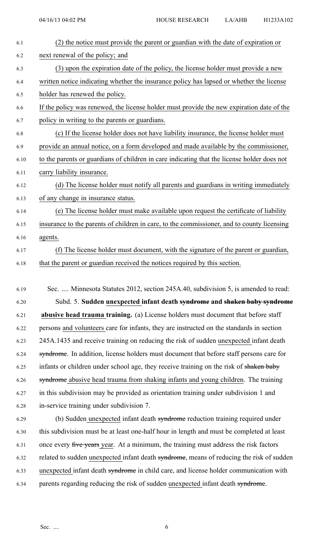| 6.1  | (2) the notice must provide the parent or guardian with the date of expiration or           |
|------|---------------------------------------------------------------------------------------------|
| 6.2  | next renewal of the policy; and                                                             |
| 6.3  | (3) upon the expiration date of the policy, the license holder must provide a new           |
| 6.4  | written notice indicating whether the insurance policy has lapsed or whether the license    |
| 6.5  | holder has renewed the policy.                                                              |
| 6.6  | If the policy was renewed, the license holder must provide the new expiration date of the   |
| 6.7  | policy in writing to the parents or guardians.                                              |
| 6.8  | (c) If the license holder does not have liability insurance, the license holder must        |
| 6.9  | provide an annual notice, on a form developed and made available by the commissioner,       |
| 6.10 | to the parents or guardians of children in care indicating that the license holder does not |
| 6.11 | carry liability insurance.                                                                  |
| 6.12 | (d) The license holder must notify all parents and guardians in writing immediately         |
| 6.13 | of any change in insurance status.                                                          |
| 6.14 | (e) The license holder must make available upon request the certificate of liability        |
| 6.15 | insurance to the parents of children in care, to the commissioner, and to county licensing  |
| 6.16 | agents.                                                                                     |
| 6.17 | (f) The license holder must document, with the signature of the parent or guardian,         |
| 6.18 | that the parent or guardian received the notices required by this section.                  |
|      |                                                                                             |
| 6.19 | Sec.  Minnesota Statutes 2012, section 245A.40, subdivision 5, is amended to read:          |
|      |                                                                                             |

6.20 Subd. 5. **Sudden unexpected infant death syndrome and shaken baby syndrome** 6.21 **abusive head trauma training.** (a) License holders must document that before staff 6.22 persons and volunteers care for infants, they are instructed on the standards in section 6.23 245A.1435 and receive training on reducing the risk of sudden unexpected infant death 6.24 syndrome. In addition, license holders must document that before staff persons care for 6.25 infants or children under school age, they receive training on the risk of shaken baby 6.26 syndrome abusive head trauma from shaking infants and young children. The training 6.27 in this subdivision may be provided as orientation training under subdivision 1 and 6.28 in-service training under subdivision 7.

6.29 (b) Sudden unexpected infant death syndrome reduction training required under 6.30 this subdivision must be at least one-half hour in length and must be completed at least 6.31 once every five years year. At a minimum, the training must address the risk factors 6.32 related to sudden unexpected infant death syndrome, means of reducing the risk of sudden 6.33 unexpected infant death syndrome in child care, and license holder communication with 6.34 parents regarding reducing the risk of sudden unexpected infant death syndrome.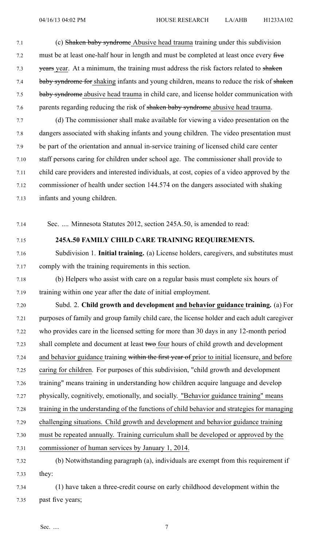- 7.1 (c) Shaken baby syndrome Abusive head trauma training under this subdivision 7.2 must be at least one-half hour in length and must be completed at least once every five 7.3 vears year. At a minimum, the training must address the risk factors related to shaken 7.4 baby syndrome for shaking infants and young children, means to reduce the risk of shaken 7.5 baby syndrome abusive head trauma in child care, and license holder communication with 7.6 parents regarding reducing the risk of shaken baby syndrome abusive head trauma.
- 7.7 (d) The commissioner shall make available for viewing <sup>a</sup> video presentation on the 7.8 dangers associated with shaking infants and young children. The video presentation must 7.9 be par<sup>t</sup> of the orientation and annual in-service training of licensed child care center 7.10 staff persons caring for children under school age. The commissioner shall provide to 7.11 child care providers and interested individuals, at cost, copies of <sup>a</sup> video approved by the 7.12 commissioner of health under section 144.574 on the dangers associated with shaking 7.13 infants and young children.

7.14 Sec. .... Minnesota Statutes 2012, section 245A.50, is amended to read:

#### 7.15 **245A.50 FAMILY CHILD CARE TRAINING REQUIREMENTS.**

- 7.16 Subdivision 1. **Initial training.** (a) License holders, caregivers, and substitutes must 7.17 comply with the training requirements in this section.
- 7.18 (b) Helpers who assist with care on <sup>a</sup> regular basis must complete six hours of 7.19 training within one year after the date of initial employment.
- 7.20 Subd. 2. **Child growth and development and behavior guidance training.** (a) For 7.21 purposes of family and group family child care, the license holder and each adult caregiver 7.22 who provides care in the licensed setting for more than 30 days in any 12-month period 7.23 shall complete and document at least two four hours of child growth and development 7.24 and behavior guidance training within the first year of prior to initial licensure, and before 7.25 caring for children. For purposes of this subdivision, "child growth and development 7.26 training" means training in understanding how children acquire language and develop 7.27 physically, cognitively, emotionally, and socially. "Behavior guidance training" means 7.28 training in the understanding of the functions of child behavior and strategies for managing 7.29 challenging situations. Child growth and development and behavior guidance training 7.30 must be repeated annually. Training curriculum shall be developed or approved by the 7.31 commissioner of human services by January 1, 2014. 7.32 (b) Notwithstanding paragraph (a), individuals are exemp<sup>t</sup> from this requirement if 7.33 they: 7.34 (1) have taken <sup>a</sup> three-credit course on early childhood development within the
- 7.35 pas<sup>t</sup> five years;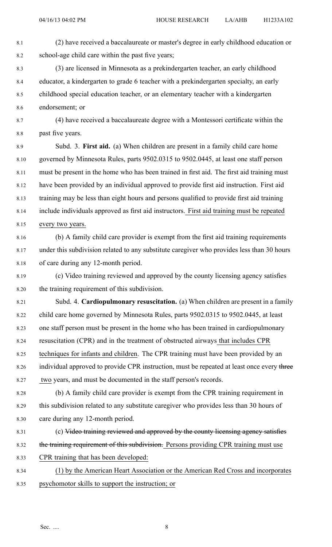- 8.1 (2) have received <sup>a</sup> baccalaureate or master's degree in early childhood education or 8.2 school-age child care within the pas<sup>t</sup> five years;
- 8.3 (3) are licensed in Minnesota as <sup>a</sup> prekindergarten teacher, an early childhood 8.4 educator, <sup>a</sup> kindergarten to grade 6 teacher with <sup>a</sup> prekindergarten specialty, an early 8.5 childhood special education teacher, or an elementary teacher with <sup>a</sup> kindergarten 8.6 endorsement; or
- 8.7 (4) have received <sup>a</sup> baccalaureate degree with <sup>a</sup> Montessori certificate within the 8.8 pas<sup>t</sup> five years.
- 8.9 Subd. 3. **First aid.** (a) When children are presen<sup>t</sup> in <sup>a</sup> family child care home 8.10 governed by Minnesota Rules, parts 9502.0315 to 9502.0445, at least one staff person 8.11 must be presen<sup>t</sup> in the home who has been trained in first aid. The first aid training must 8.12 have been provided by an individual approved to provide first aid instruction. First aid 8.13 training may be less than eight hours and persons qualified to provide first aid training 8.14 include individuals approved as first aid instructors. First aid training must be repeated 8.15 every two years.
- 8.16 (b) A family child care provider is exemp<sup>t</sup> from the first aid training requirements 8.17 under this subdivision related to any substitute caregiver who provides less than 30 hours 8.18 of care during any 12-month period.
- 8.19 (c) Video training reviewed and approved by the county licensing agency satisfies 8.20 the training requirement of this subdivision.
- 8.21 Subd. 4. **Cardiopulmonary resuscitation.** (a) When children are presen<sup>t</sup> in <sup>a</sup> family 8.22 child care home governed by Minnesota Rules, parts 9502.0315 to 9502.0445, at least 8.23 one staff person must be presen<sup>t</sup> in the home who has been trained in cardiopulmonary 8.24 resuscitation (CPR) and in the treatment of obstructed airways that includes CPR 8.25 techniques for infants and children. The CPR training must have been provided by an 8.26 individual approved to provide CPR instruction, must be repeated at least once every three 8.27 two years, and must be documented in the staff person's records.
- 8.28 (b) A family child care provider is exemp<sup>t</sup> from the CPR training requirement in 8.29 this subdivision related to any substitute caregiver who provides less than 30 hours of 8.30 care during any 12-month period.
- 8.31 (c) Video training reviewed and approved by the county licensing agency satisfies
- 8.32 the training requirement of this subdivision. Persons providing CPR training must use
- 8.33 CPR training that has been developed:
- 8.34 (1) by the American Heart Association or the American Red Cross and incorporates 8.35 psychomotor skills to suppor<sup>t</sup> the instruction; or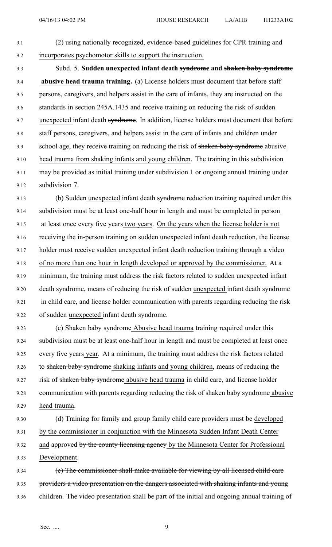9.1 (2) using nationally recognized, evidence-based guidelines for CPR training and 9.2 incorporates psychomotor skills to suppor<sup>t</sup> the instruction.

9.3 Subd. 5. **Sudden unexpected infant death syndrome and shaken baby syndrome** 9.4 **abusive head trauma training.** (a) License holders must document that before staff 9.5 persons, caregivers, and helpers assist in the care of infants, they are instructed on the 9.6 standards in section 245A.1435 and receive training on reducing the risk of sudden 9.7 unexpected infant death syndrome. In addition, license holders must document that before 9.8 staff persons, caregivers, and helpers assist in the care of infants and children under 9.9 school age, they receive training on reducing the risk of shaken baby syndrome abusive 9.10 head trauma from shaking infants and young children. The training in this subdivision 9.11 may be provided as initial training under subdivision 1 or ongoing annual training under 9.12 subdivision 7.

9.13 (b) Sudden unexpected infant death syndrome reduction training required under this 9.14 subdivision must be at least one-half hour in length and must be completed in person 9.15 at least once every five years two years. On the years when the license holder is not 9.16 receiving the in-person training on sudden unexpected infant death reduction, the license 9.17 holder must receive sudden unexpected infant death reduction training through <sup>a</sup> video 9.18 of no more than one hour in length developed or approved by the commissioner. At a 9.19 minimum, the training must address the risk factors related to sudden unexpected infant 9.20 death syndrome, means of reducing the risk of sudden unexpected infant death syndrome 9.21 in child care, and license holder communication with parents regarding reducing the risk 9.22 of sudden unexpected infant death syndrome.

9.23 (c) Shaken baby syndrome Abusive head trauma training required under this 9.24 subdivision must be at least one-half hour in length and must be completed at least once 9.25 every five years year. At a minimum, the training must address the risk factors related 9.26 to shaken baby syndrome shaking infants and young children, means of reducing the 9.27 risk of shaken baby syndrome abusive head trauma in child care, and license holder 9.28 communication with parents regarding reducing the risk of shaken baby syndrome abusive 9.29 head trauma.

9.30 (d) Training for family and group family child care providers must be developed 9.31 by the commissioner in conjunction with the Minnesota Sudden Infant Death Center 9.32 and approved by the county licensing agency by the Minnesota Center for Professional 9.33 Development.

9.34 (e) The commissioner shall make available for viewing by all licensed child care 9.35 providers a video presentation on the dangers associated with shaking infants and young 9.36 children. The video presentation shall be part of the initial and ongoing annual training of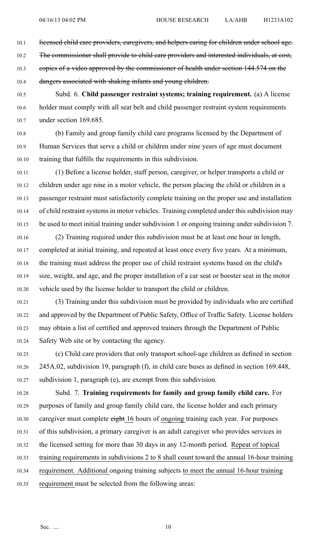10.1 licensed child care providers, caregivers, and helpers caring for children under school age.

10.2 The commissioner shall provide to child care providers and interested individuals, at cost,

10.3 copies of a video approved by the commissioner of health under section 144.574 on the

10.4 dangers associated with shaking infants and young children.

10.5 Subd. 6. **Child passenger restraint systems; training requirement.** (a) A license 10.6 holder must comply with all seat belt and child passenger restraint system requirements 10.7 under section 169.685.

10.8 (b) Family and group family child care programs licensed by the Department of 10.9 Human Services that serve <sup>a</sup> child or children under nine years of age must document 10.10 training that fulfills the requirements in this subdivision.

10.11 (1) Before <sup>a</sup> license holder, staff person, caregiver, or helper transports <sup>a</sup> child or 10.12 children under age nine in <sup>a</sup> motor vehicle, the person placing the child or children in <sup>a</sup> 10.13 passenger restraint must satisfactorily complete training on the proper use and installation 10.14 of child restraint systems in motor vehicles. Training completed under this subdivision may 10.15 be used to meet initial training under subdivision 1 or ongoing training under subdivision 7.

10.16 (2) Training required under this subdivision must be at least one hour in length, 10.17 completed at initial training, and repeated at least once every five years. At <sup>a</sup> minimum, 10.18 the training must address the proper use of child restraint systems based on the child's 10.19 size, weight, and age, and the proper installation of <sup>a</sup> car seat or booster seat in the motor 10.20 vehicle used by the license holder to transport the child or children.

10.21 (3) Training under this subdivision must be provided by individuals who are certified 10.22 and approved by the Department of Public Safety, Office of Traffic Safety. License holders 10.23 may obtain <sup>a</sup> list of certified and approved trainers through the Department of Public 10.24 Safety Web site or by contacting the agency.

10.25 (c) Child care providers that only transport school-age children as defined in section 10.26 245A.02, subdivision 19, paragraph (f), in child care buses as defined in section 169.448, 10.27 subdivision 1, paragraph (e), are exemp<sup>t</sup> from this subdivision.

10.28 Subd. 7. **Training requirements for family and group family child care.** For 10.29 purposes of family and group family child care, the license holder and each primary 10.30 caregiver must complete eight 16 hours of ongoing training each year. For purposes 10.31 of this subdivision, <sup>a</sup> primary caregiver is an adult caregiver who provides services in 10.32 the licensed setting for more than 30 days in any 12-month period. Repeat of topical 10.33 training requirements in subdivisions 2 to 8 shall count toward the annual 16-hour training 10.34 requirement. Additional ongoing training subjects to meet the annual 16-hour training

10.35 requirement must be selected from the following areas: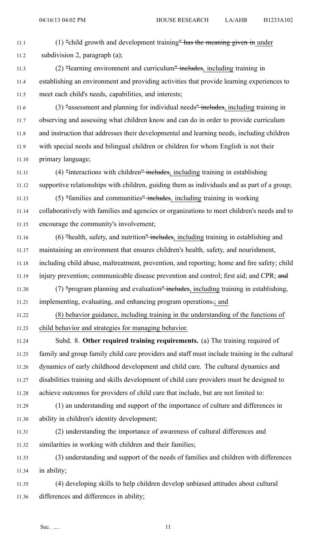11.1 (1) "child growth and development training" has the meaning given in under 11.2 subdivision 2, paragraph (a); 11.3 (2) "learning environment and curriculum" includes, including training in 11.4 establishing an environment and providing activities that provide learning experiences to 11.5 meet each child's needs, capabilities, and interests; 11.6 (3) "assessment and planning for individual needs" includes, including training in 11.7 observing and assessing what children know and can do in order to provide curriculum 11.8 and instruction that addresses their developmental and learning needs, including children 11.9 with special needs and bilingual children or children for whom English is not their 11.10 primary language; 11.11 (4) "interactions with children" includes, including training in establishing 11.12 supportive relationships with children, guiding them as individuals and as par<sup>t</sup> of <sup>a</sup> group; 11.13 (5) "families and communities" includes, including training in working 11.14 collaboratively with families and agencies or organizations to meet children's needs and to 11.15 encourage the community's involvement; 11.16 (6) "health, safety, and nutrition" includes, including training in establishing and 11.17 maintaining an environment that ensures children's health, safety, and nourishment, 11.18 including child abuse, maltreatment, prevention, and reporting; home and fire safety; child 11.19 injury prevention; communicable disease prevention and control; first aid; and CPR; and 11.20 (7) "program planning and evaluation" includes, including training in establishing, 11.21 implementing, evaluating, and enhancing program operations.; and 11.22 (8) behavior guidance, including training in the understanding of the functions of 11.23 child behavior and strategies for managing behavior. 11.24 Subd. 8. **Other required training requirements.** (a) The training required of 11.25 family and group family child care providers and staff must include training in the cultural 11.26 dynamics of early childhood development and child care. The cultural dynamics and 11.27 disabilities training and skills development of child care providers must be designed to 11.28 achieve outcomes for providers of child care that include, but are not limited to: 11.29 (1) an understanding and suppor<sup>t</sup> of the importance of culture and differences in 11.30 ability in children's identity development; 11.31 (2) understanding the importance of awareness of cultural differences and 11.32 similarities in working with children and their families; 11.33 (3) understanding and suppor<sup>t</sup> of the needs of families and children with differences 11.34 in ability; 11.35 (4) developing skills to help children develop unbiased attitudes about cultural 11.36 differences and differences in ability;